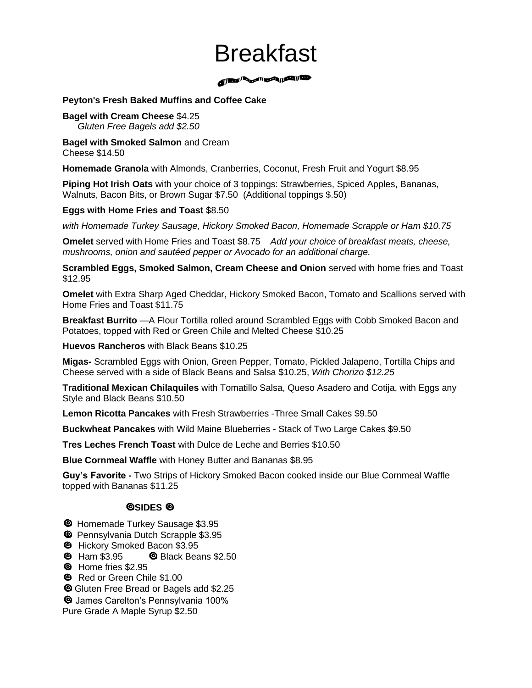# Breakfast

A BOOK SOFTING THE TIME OF THE TIME OF THE TIME OF THE TIME OF THE TIME OF THE TIME OF THE TIME OF THE TIME OF

#### **Peyton's Fresh Baked Muffins and Coffee Cake**

#### **Bagel with Cream Cheese** \$4.25  *Gluten Free Bagels add \$2.50*

**Bagel with Smoked Salmon** and Cream Cheese \$14.50

**Homemade Granola** with Almonds, Cranberries, Coconut, Fresh Fruit and Yogurt \$8.95

**Piping Hot Irish Oats** with your choice of 3 toppings: Strawberries, Spiced Apples, Bananas, Walnuts, Bacon Bits, or Brown Sugar \$7.50 (Additional toppings \$.50)

#### **Eggs with Home Fries and Toast** \$8.50

*with Homemade Turkey Sausage, Hickory Smoked Bacon, Homemade Scrapple or Ham \$10.75*

**Omelet** served with Home Fries and Toast \$8.75 *Add your choice of breakfast meats, cheese, mushrooms, onion and sautéed pepper or Avocado for an additional charge.*

**Scrambled Eggs, Smoked Salmon, Cream Cheese and Onion** served with home fries and Toast \$12.95

**Omelet** with Extra Sharp Aged Cheddar, Hickory Smoked Bacon, Tomato and Scallions served with Home Fries and Toast \$11.75

**Breakfast Burrito** —A Flour Tortilla rolled around Scrambled Eggs with Cobb Smoked Bacon and Potatoes, topped with Red or Green Chile and Melted Cheese \$10.25

**Huevos Rancheros** with Black Beans \$10.25

**Migas-** Scrambled Eggs with Onion, Green Pepper, Tomato, Pickled Jalapeno, Tortilla Chips and Cheese served with a side of Black Beans and Salsa \$10.25, *With Chorizo \$12.25*

**Traditional Mexican Chilaquiles** with Tomatillo Salsa, Queso Asadero and Cotija, with Eggs any Style and Black Beans \$10.50

**Lemon Ricotta Pancakes** with Fresh Strawberries -Three Small Cakes \$9.50

**Buckwheat Pancakes** with Wild Maine Blueberries - Stack of Two Large Cakes \$9.50

**Tres Leches French Toast** with Dulce de Leche and Berries \$10.50

**Blue Cornmeal Waffle** with Honey Butter and Bananas \$8.95

**Guy's Favorite -** Two Strips of Hickory Smoked Bacon cooked inside our Blue Cornmeal Waffle topped with Bananas \$11.25

### **@SIDES @**

- **O** Homemade Turkey Sausage \$3.95
- **O** Pennsylvania Dutch Scrapple \$3.95
- **E** Hickory Smoked Bacon \$3.95
- $\bullet$  Ham \$3.95  $\bullet$  Black Beans \$2.50
- **@** Home fries \$2.95
- **E** Red or Green Chile \$1.00
- Gluten Free Bread or Bagels add \$2.25

James Carelton's Pennsylvania 100%

Pure Grade A Maple Syrup \$2.50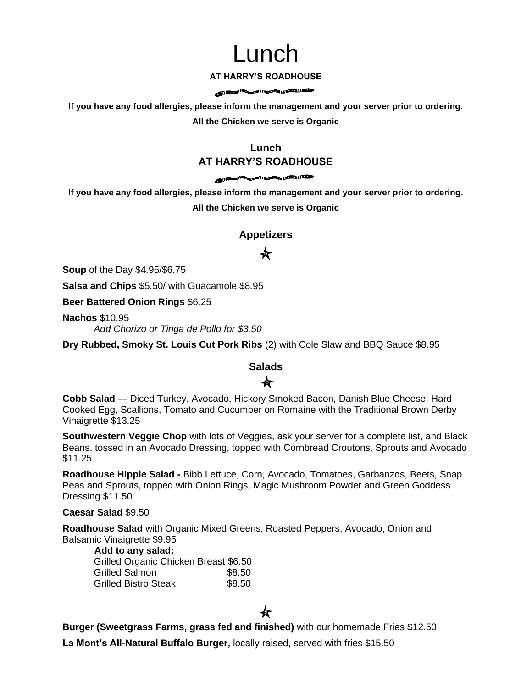# Lunch

#### **AT HARRY'S ROADHOUSE**

#### **All States (Second Figure 1)** and the party of the local division of the local division of the local division of the local division of the local division of the local division of the local division of the local division o

**If you have any food allergies, please inform the management and your server prior to ordering. All the Chicken we serve is Organic**

## **Lunch AT HARRY'S ROADHOUSE**

#### **All States of Concession, States of the Concession, Inc., and I delivered in the Concession of the Concession of the Concession of the Concession of the Concession of the Concession of the Concession of the Concession of**

**If you have any food allergies, please inform the management and your server prior to ordering. All the Chicken we serve is Organic**

### **Appetizers**

# 食

**Soup** of the Day \$4.95/\$6.75

**Salsa and Chips** \$5.50/ with Guacamole \$8.95

**Beer Battered Onion Rings** \$6.25

**Nachos** \$10.95 *Add Chorizo or Tinga de Pollo for \$3.50*

**Dry Rubbed, Smoky St. Louis Cut Pork Ribs** (2) with Cole Slaw and BBQ Sauce \$8.95

### **Salads** ★

### **Cobb Salad** — Diced Turkey, Avocado, Hickory Smoked Bacon, Danish Blue Cheese, Hard Cooked Egg, Scallions, Tomato and Cucumber on Romaine with the Traditional Brown Derby Vinaigrette \$13.25

**Southwestern Veggie Chop** with lots of Veggies, ask your server for a complete list, and Black Beans, tossed in an Avocado Dressing, topped with Cornbread Croutons, Sprouts and Avocado \$11.25

**Roadhouse Hippie Salad -** Bibb Lettuce, Corn, Avocado, Tomatoes, Garbanzos, Beets, Snap Peas and Sprouts, topped with Onion Rings, Magic Mushroom Powder and Green Goddess Dressing \$11.50

#### **Caesar Salad** \$9.50

**Roadhouse Salad** with Organic Mixed Greens, Roasted Peppers, Avocado, Onion and Balsamic Vinaigrette \$9.95

#### **Add to any salad:**

| Grilled Organic Chicken Breast \$6.50 |        |
|---------------------------------------|--------|
| Grilled Salmon                        | \$8.50 |
| <b>Grilled Bistro Steak</b>           | \$8.50 |

**Burger (Sweetgrass Farms, grass fed and finished)** with our homemade Fries \$12.50

**La Mont's All-Natural Buffalo Burger,** locally raised, served with fries \$15.50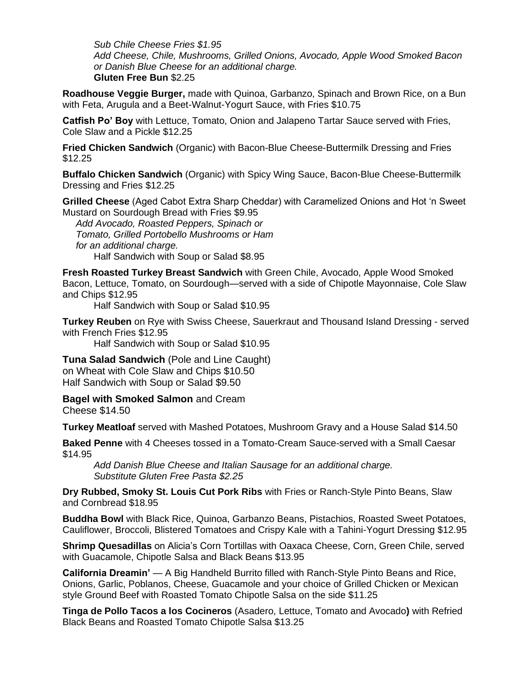*Sub Chile Cheese Fries \$1.95 Add Cheese, Chile, Mushrooms, Grilled Onions, Avocado, Apple Wood Smoked Bacon or Danish Blue Cheese for an additional charge.* **Gluten Free Bun** \$2.25

**Roadhouse Veggie Burger,** made with Quinoa, Garbanzo, Spinach and Brown Rice, on a Bun with Feta, Arugula and a Beet-Walnut-Yogurt Sauce, with Fries \$10.75

**Catfish Po' Boy** with Lettuce, Tomato, Onion and Jalapeno Tartar Sauce served with Fries, Cole Slaw and a Pickle \$12.25

**Fried Chicken Sandwich** (Organic) with Bacon-Blue Cheese-Buttermilk Dressing and Fries \$12.25

**Buffalo Chicken Sandwich** (Organic) with Spicy Wing Sauce, Bacon-Blue Cheese-Buttermilk Dressing and Fries \$12.25

**Grilled Cheese** (Aged Cabot Extra Sharp Cheddar) with Caramelized Onions and Hot 'n Sweet Mustard on Sourdough Bread with Fries \$9.95

 *Add Avocado, Roasted Peppers, Spinach or Tomato, Grilled Portobello Mushrooms or Ham for an additional charge.* Half Sandwich with Soup or Salad \$8.95

**Fresh Roasted Turkey Breast Sandwich** with Green Chile, Avocado, Apple Wood Smoked Bacon, Lettuce, Tomato, on Sourdough—served with a side of Chipotle Mayonnaise, Cole Slaw and Chips \$12.95

Half Sandwich with Soup or Salad \$10.95

**Turkey Reuben** on Rye with Swiss Cheese, Sauerkraut and Thousand Island Dressing - served with French Fries \$12.95

Half Sandwich with Soup or Salad \$10.95

**Tuna Salad Sandwich** (Pole and Line Caught) on Wheat with Cole Slaw and Chips \$10.50 Half Sandwich with Soup or Salad \$9.50

**Bagel with Smoked Salmon** and Cream Cheese \$14.50

**Turkey Meatloaf** served with Mashed Potatoes, Mushroom Gravy and a House Salad \$14.50

**Baked Penne** with 4 Cheeses tossed in a Tomato-Cream Sauce-served with a Small Caesar \$14.95

*Add Danish Blue Cheese and Italian Sausage for an additional charge. Substitute Gluten Free Pasta \$2.25*

**Dry Rubbed, Smoky St. Louis Cut Pork Ribs** with Fries or Ranch-Style Pinto Beans, Slaw and Cornbread \$18.95

**Buddha Bowl** with Black Rice, Quinoa, Garbanzo Beans, Pistachios, Roasted Sweet Potatoes, Cauliflower, Broccoli, Blistered Tomatoes and Crispy Kale with a Tahini-Yogurt Dressing \$12.95

**Shrimp Quesadillas** on Alicia's Corn Tortillas with Oaxaca Cheese, Corn, Green Chile, served with Guacamole, Chipotle Salsa and Black Beans \$13.95

**California Dreamin'** — A Big Handheld Burrito filled with Ranch-Style Pinto Beans and Rice, Onions, Garlic, Poblanos, Cheese, Guacamole and your choice of Grilled Chicken or Mexican style Ground Beef with Roasted Tomato Chipotle Salsa on the side \$11.25

**Tinga de Pollo Tacos a los Cocineros** (Asadero, Lettuce, Tomato and Avocado**)** with Refried Black Beans and Roasted Tomato Chipotle Salsa \$13.25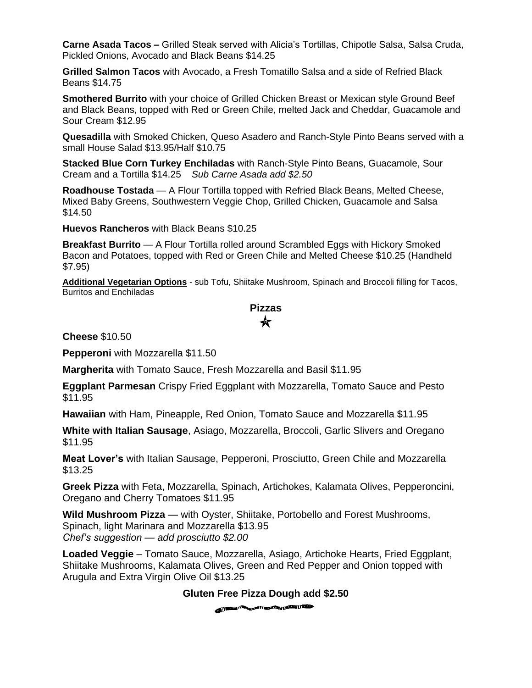**Carne Asada Tacos –** Grilled Steak served with Alicia's Tortillas, Chipotle Salsa, Salsa Cruda, Pickled Onions, Avocado and Black Beans \$14.25

**Grilled Salmon Tacos** with Avocado, a Fresh Tomatillo Salsa and a side of Refried Black Beans \$14.75

**Smothered Burrito** with your choice of Grilled Chicken Breast or Mexican style Ground Beef and Black Beans, topped with Red or Green Chile, melted Jack and Cheddar, Guacamole and Sour Cream \$12.95

**Quesadilla** with Smoked Chicken, Queso Asadero and Ranch-Style Pinto Beans served with a small House Salad \$13.95/Half \$10.75

**Stacked Blue Corn Turkey Enchiladas** with Ranch-Style Pinto Beans, Guacamole, Sour Cream and a Tortilla \$14.25 *Sub Carne Asada add \$2.50*

**Roadhouse Tostada** — A Flour Tortilla topped with Refried Black Beans, Melted Cheese, Mixed Baby Greens, Southwestern Veggie Chop, Grilled Chicken, Guacamole and Salsa \$14.50

**Huevos Rancheros** with Black Beans \$10.25

**Breakfast Burrito** — A Flour Tortilla rolled around Scrambled Eggs with Hickory Smoked Bacon and Potatoes, topped with Red or Green Chile and Melted Cheese \$10.25 (Handheld \$7.95)

**Additional Vegetarian Options** - sub Tofu, Shiitake Mushroom, Spinach and Broccoli filling for Tacos, Burritos and Enchiladas

## **Pizzas** ★

**Cheese** \$10.50

**Pepperoni** with Mozzarella \$11.50

**Margherita** with Tomato Sauce, Fresh Mozzarella and Basil \$11.95

**Eggplant Parmesan** Crispy Fried Eggplant with Mozzarella, Tomato Sauce and Pesto \$11.95

**Hawaiian** with Ham, Pineapple, Red Onion, Tomato Sauce and Mozzarella \$11.95

**White with Italian Sausage**, Asiago, Mozzarella, Broccoli, Garlic Slivers and Oregano \$11.95

**Meat Lover's** with Italian Sausage, Pepperoni, Prosciutto, Green Chile and Mozzarella \$13.25

**Greek Pizza** with Feta, Mozzarella, Spinach, Artichokes, Kalamata Olives, Pepperoncini, Oregano and Cherry Tomatoes \$11.95

**Wild Mushroom Pizza** — with Oyster, Shiitake, Portobello and Forest Mushrooms, Spinach, light Marinara and Mozzarella \$13.95 *Chef's suggestion — add prosciutto \$2.00*

**Loaded Veggie** – Tomato Sauce, Mozzarella, Asiago, Artichoke Hearts, Fried Eggplant, Shiitake Mushrooms, Kalamata Olives, Green and Red Pepper and Onion topped with Arugula and Extra Virgin Olive Oil \$13.25

**Gluten Free Pizza Dough add \$2.50**

**All Processing Commences of the Commence of the Commence of the Commence of the Commence of the Commence of the Commence of the Commence of the Commence of the Commence of the Commence of the Commence of the Commence of t**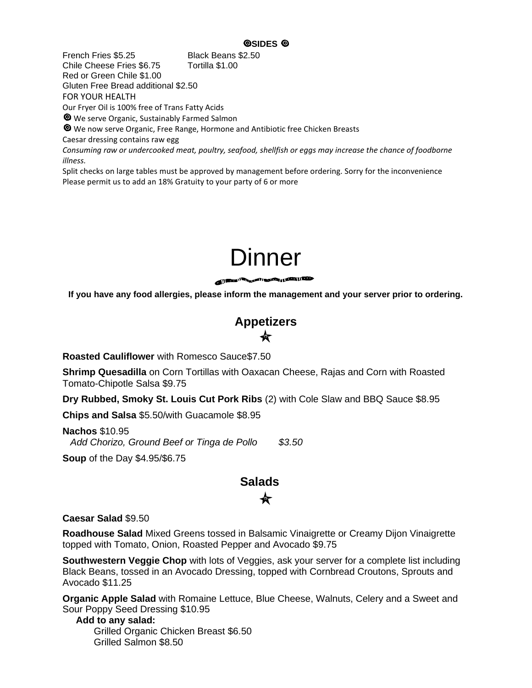French Fries \$5.25 Black Beans \$2.50 Chile Cheese Fries \$6.75 Tortilla \$1.00 Red or Green Chile \$1.00 Gluten Free Bread additional \$2.50 FOR YOUR HEALTH

Our Fryer Oil is 100% free of Trans Fatty Acids

We serve Organic, Sustainably Farmed Salmon

We now serve Organic, Free Range, Hormone and Antibiotic free Chicken Breasts

Caesar dressing contains raw egg

*Consuming raw or undercooked meat, poultry, seafood, shellfish or eggs may increase the chance of foodborne illness.*

Split checks on large tables must be approved by management before ordering. Sorry for the inconvenience Please permit us to add an 18% Gratuity to your party of 6 or more



**If you have any food allergies, please inform the management and your server prior to ordering.**

**Appetizers**

**Roasted Cauliflower** with Romesco Sauce\$7.50

**Shrimp Quesadilla** on Corn Tortillas with Oaxacan Cheese, Rajas and Corn with Roasted Tomato-Chipotle Salsa \$9.75

**Dry Rubbed, Smoky St. Louis Cut Pork Ribs** (2) with Cole Slaw and BBQ Sauce \$8.95

**Chips and Salsa** \$5.50/with Guacamole \$8.95

**Nachos** \$10.95 *Add Chorizo, Ground Beef or Tinga de Pollo \$3.50*

**Soup** of the Day \$4.95/\$6.75

# **Salads**

**Caesar Salad** \$9.50

**Roadhouse Salad** Mixed Greens tossed in Balsamic Vinaigrette or Creamy Dijon Vinaigrette topped with Tomato, Onion, Roasted Pepper and Avocado \$9.75

**Southwestern Veggie Chop** with lots of Veggies, ask your server for a complete list including Black Beans, tossed in an Avocado Dressing, topped with Cornbread Croutons, Sprouts and Avocado \$11.25

**Organic Apple Salad** with Romaine Lettuce, Blue Cheese, Walnuts, Celery and a Sweet and Sour Poppy Seed Dressing \$10.95

 **Add to any salad:** Grilled Organic Chicken Breast \$6.50 Grilled Salmon \$8.50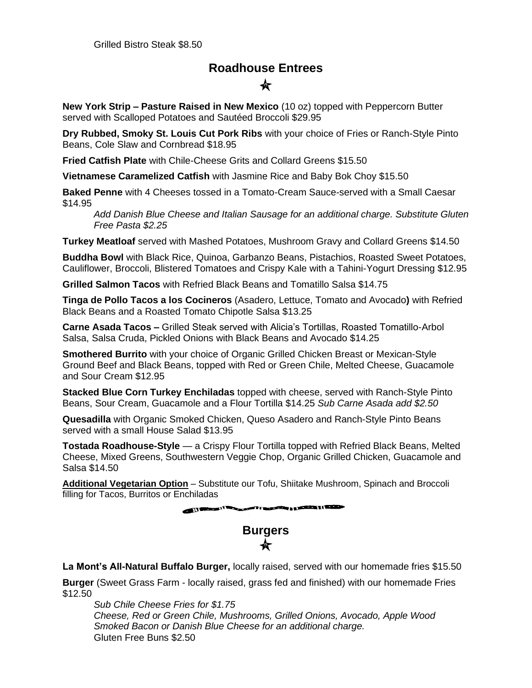# **Roadhouse Entrees**

**New York Strip – Pasture Raised in New Mexico** (10 oz) topped with Peppercorn Butter served with Scalloped Potatoes and Sautéed Broccoli \$29.95

**Dry Rubbed, Smoky St. Louis Cut Pork Ribs** with your choice of Fries or Ranch-Style Pinto Beans, Cole Slaw and Cornbread \$18.95

**Fried Catfish Plate** with Chile-Cheese Grits and Collard Greens \$15.50

**Vietnamese Caramelized Catfish** with Jasmine Rice and Baby Bok Choy \$15.50

**Baked Penne** with 4 Cheeses tossed in a Tomato-Cream Sauce-served with a Small Caesar \$14.95

*Add Danish Blue Cheese and Italian Sausage for an additional charge. Substitute Gluten Free Pasta \$2.25*

**Turkey Meatloaf** served with Mashed Potatoes, Mushroom Gravy and Collard Greens \$14.50

**Buddha Bowl** with Black Rice, Quinoa, Garbanzo Beans, Pistachios, Roasted Sweet Potatoes, Cauliflower, Broccoli, Blistered Tomatoes and Crispy Kale with a Tahini-Yogurt Dressing \$12.95

**Grilled Salmon Tacos** with Refried Black Beans and Tomatillo Salsa \$14.75

**Tinga de Pollo Tacos a los Cocineros** (Asadero, Lettuce, Tomato and Avocado**)** with Refried Black Beans and a Roasted Tomato Chipotle Salsa \$13.25

**Carne Asada Tacos –** Grilled Steak served with Alicia's Tortillas, Roasted Tomatillo-Arbol Salsa, Salsa Cruda, Pickled Onions with Black Beans and Avocado \$14.25

**Smothered Burrito** with your choice of Organic Grilled Chicken Breast or Mexican-Style Ground Beef and Black Beans, topped with Red or Green Chile, Melted Cheese, Guacamole and Sour Cream \$12.95

**Stacked Blue Corn Turkey Enchiladas** topped with cheese, served with Ranch-Style Pinto Beans, Sour Cream, Guacamole and a Flour Tortilla \$14.25 *Sub Carne Asada add \$2.50*

**Quesadilla** with Organic Smoked Chicken, Queso Asadero and Ranch-Style Pinto Beans served with a small House Salad \$13.95

**Tostada Roadhouse-Style** — a Crispy Flour Tortilla topped with Refried Black Beans, Melted Cheese, Mixed Greens, Southwestern Veggie Chop, Organic Grilled Chicken, Guacamole and Salsa \$14.50

**Additional Vegetarian Option** – Substitute our Tofu, Shiitake Mushroom, Spinach and Broccoli filling for Tacos, Burritos or Enchiladas

**All the second interest of the second company of the second company of the second company of the second company of the second company of the second company of the second company of the second company of the second company** 

# **Burgers**  $\leftarrow$

**La Mont's All-Natural Buffalo Burger,** locally raised, served with our homemade fries \$15.50

**Burger** (Sweet Grass Farm - locally raised, grass fed and finished) with our homemade Fries \$12.50

*Sub Chile Cheese Fries for \$1.75 Cheese, Red or Green Chile, Mushrooms, Grilled Onions, Avocado, Apple Wood Smoked Bacon or Danish Blue Cheese for an additional charge.* Gluten Free Buns \$2.50